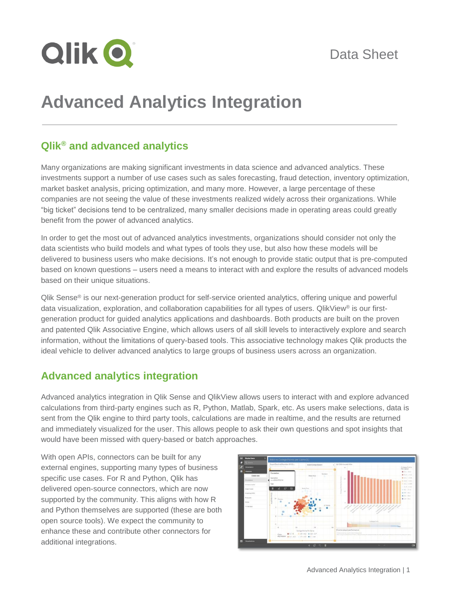

# **Advanced Analytics Integration**

## **Qlik® and advanced analytics**

Many organizations are making significant investments in data science and advanced analytics. These investments support a number of use cases such as sales forecasting, fraud detection, inventory optimization, market basket analysis, pricing optimization, and many more. However, a large percentage of these companies are not seeing the value of these investments realized widely across their organizations. While "big ticket" decisions tend to be centralized, many smaller decisions made in operating areas could greatly benefit from the power of advanced analytics.

In order to get the most out of advanced analytics investments, organizations should consider not only the data scientists who build models and what types of tools they use, but also how these models will be delivered to business users who make decisions. It's not enough to provide static output that is pre-computed based on known questions – users need a means to interact with and explore the results of advanced models based on their unique situations.

Qlik Sense® is our next-generation product for self-service oriented analytics, offering unique and powerful data visualization, exploration, and collaboration capabilities for all types of users. QlikView® is our firstgeneration product for guided analytics applications and dashboards. Both products are built on the proven and patented Qlik Associative Engine, which allows users of all skill levels to interactively explore and search information, without the limitations of query-based tools. This associative technology makes Qlik products the ideal vehicle to deliver advanced analytics to large groups of business users across an organization.

## **Advanced analytics integration**

Advanced analytics integration in Qlik Sense and QlikView allows users to interact with and explore advanced calculations from third-party engines such as R, Python, Matlab, Spark, etc. As users make selections, data is sent from the Qlik engine to third party tools, calculations are made in realtime, and the results are returned and immediately visualized for the user. This allows people to ask their own questions and spot insights that would have been missed with query-based or batch approaches.

With open APIs, connectors can be built for any external engines, supporting many types of business specific use cases. For R and Python, Qlik has delivered open-source connectors, which are now supported by the community. This aligns with how R and Python themselves are supported (these are both open source tools). We expect the community to enhance these and contribute other connectors for additional integrations.